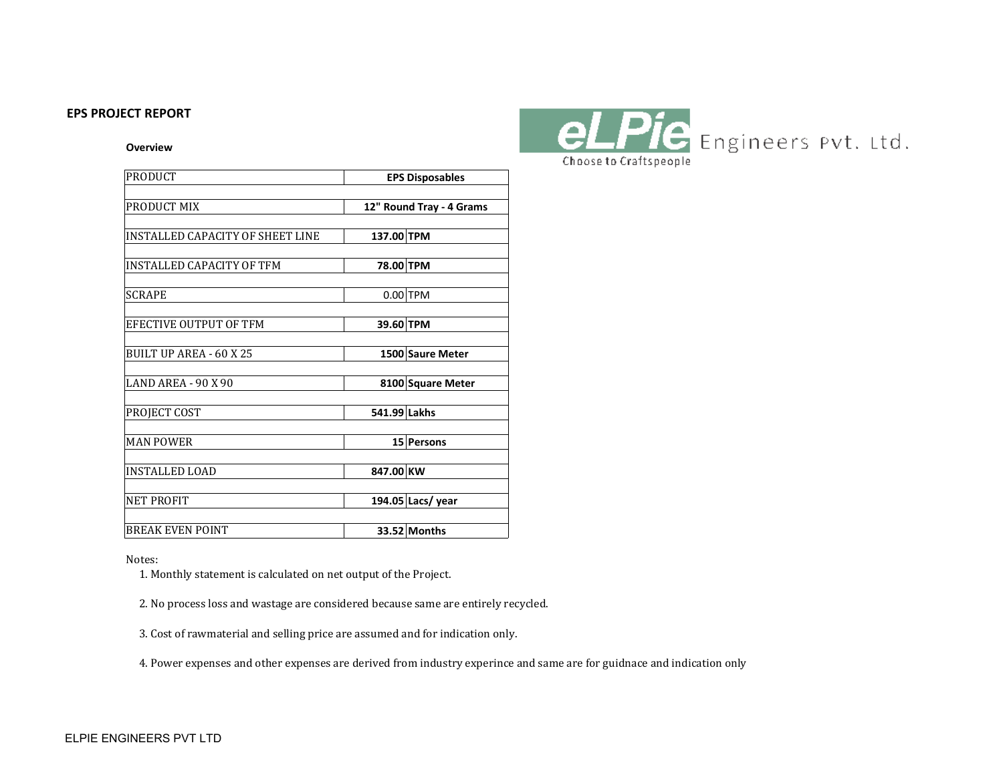### **EPS PROJECT REPORT**

#### **Overview**

| <b>PRODUCT</b>                   | <b>EPS Disposables</b>   |                   |  |
|----------------------------------|--------------------------|-------------------|--|
|                                  |                          |                   |  |
| PRODUCT MIX                      | 12" Round Tray - 4 Grams |                   |  |
| INSTALLED CAPACITY OF SHEET LINE | 137.00 TPM               |                   |  |
|                                  |                          |                   |  |
| INSTALLED CAPACITY OF TFM        | 78.00 TPM                |                   |  |
| <b>SCRAPE</b>                    |                          | $0.00$ TPM        |  |
|                                  |                          |                   |  |
| EFECTIVE OUTPUT OF TFM           | 39.60 TPM                |                   |  |
| BUILT UP AREA - 60 X 25          |                          | 1500 Saure Meter  |  |
|                                  |                          |                   |  |
| <b>LAND AREA - 90 X 90</b>       |                          | 8100 Square Meter |  |
| PROJECT COST                     | 541.99 Lakhs             |                   |  |
|                                  |                          |                   |  |
| <b>MAN POWER</b>                 |                          | <b>15 Persons</b> |  |
|                                  |                          |                   |  |
| <b>INSTALLED LOAD</b>            | 847.00 KW                |                   |  |
| <b>NET PROFIT</b>                |                          | 194.05 Lacs/ year |  |
|                                  |                          |                   |  |
| <b>BREAK EVEN POINT</b>          |                          | 33.52 Months      |  |



Notes:

1. Monthly statement is calculated on net output of the Project.

2. No process loss and wastage are considered because same are entirely recycled.

3. Cost of rawmaterial and selling price are assumed and for indication only.

4. Power expenses and other expenses are derived from industry experince and same are for guidnace and indication only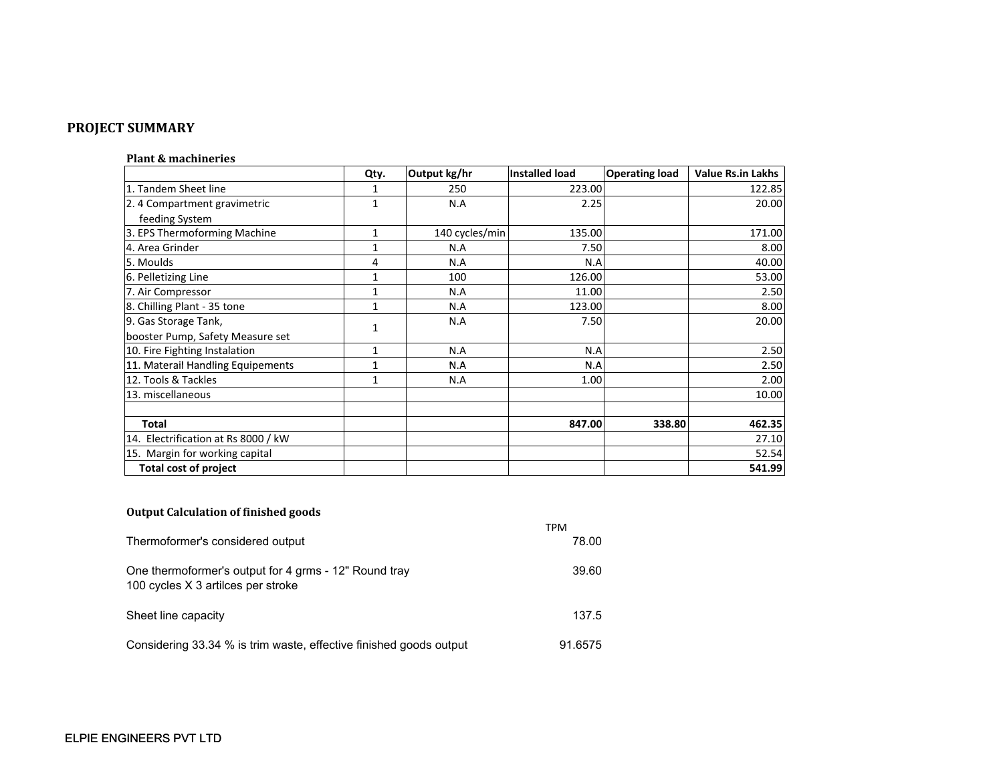# **PROJECT SUMMARY**

### **Plant & machineries**

|                                     | Qty.         | Output kg/hr   | <b>Installed load</b> | <b>Operating load</b> | <b>Value Rs.in Lakhs</b> |
|-------------------------------------|--------------|----------------|-----------------------|-----------------------|--------------------------|
| 1. Tandem Sheet line                | 1            | 250            | 223.00                |                       | 122.85                   |
| 2. 4 Compartment gravimetric        | 1            | N.A            | 2.25                  |                       | 20.00                    |
| feeding System                      |              |                |                       |                       |                          |
| 3. EPS Thermoforming Machine        | 1            | 140 cycles/min | 135.00                |                       | 171.00                   |
| 4. Area Grinder                     | 1            | N.A            | 7.50                  |                       | 8.00                     |
| 5. Moulds                           | 4            | N.A            | N.A                   |                       | 40.00                    |
| 6. Pelletizing Line                 | 1            | 100            | 126.00                |                       | 53.00                    |
| 7. Air Compressor                   | 1            | N.A            | 11.00                 |                       | 2.50                     |
| 8. Chilling Plant - 35 tone         | 1            | N.A            | 123.00                |                       | 8.00                     |
| 9. Gas Storage Tank,                | 1            | N.A            | 7.50                  |                       | 20.00                    |
| booster Pump, Safety Measure set    |              |                |                       |                       |                          |
| 10. Fire Fighting Instalation       | $\mathbf{1}$ | N.A            | N.A                   |                       | 2.50                     |
| 11. Materail Handling Equipements   | $\mathbf 1$  | N.A            | N.A                   |                       | 2.50                     |
| 12. Tools & Tackles                 | 1            | N.A            | 1.00                  |                       | 2.00                     |
| 13. miscellaneous                   |              |                |                       |                       | 10.00                    |
|                                     |              |                |                       |                       |                          |
| <b>Total</b>                        |              |                | 847.00                | 338.80                | 462.35                   |
| 14. Electrification at Rs 8000 / kW |              |                |                       |                       | 27.10                    |
| 15. Margin for working capital      |              |                |                       |                       | 52.54                    |
| <b>Total cost of project</b>        |              |                |                       |                       | 541.99                   |

## **Output Calculation of finished goods**

|                                                                                             | TPM     |
|---------------------------------------------------------------------------------------------|---------|
| Thermoformer's considered output                                                            | 78.00   |
| One thermoformer's output for 4 grms - 12" Round tray<br>100 cycles X 3 artilces per stroke | 39.60   |
| Sheet line capacity                                                                         | 137.5   |
| Considering 33.34 % is trim waste, effective finished goods output                          | 91.6575 |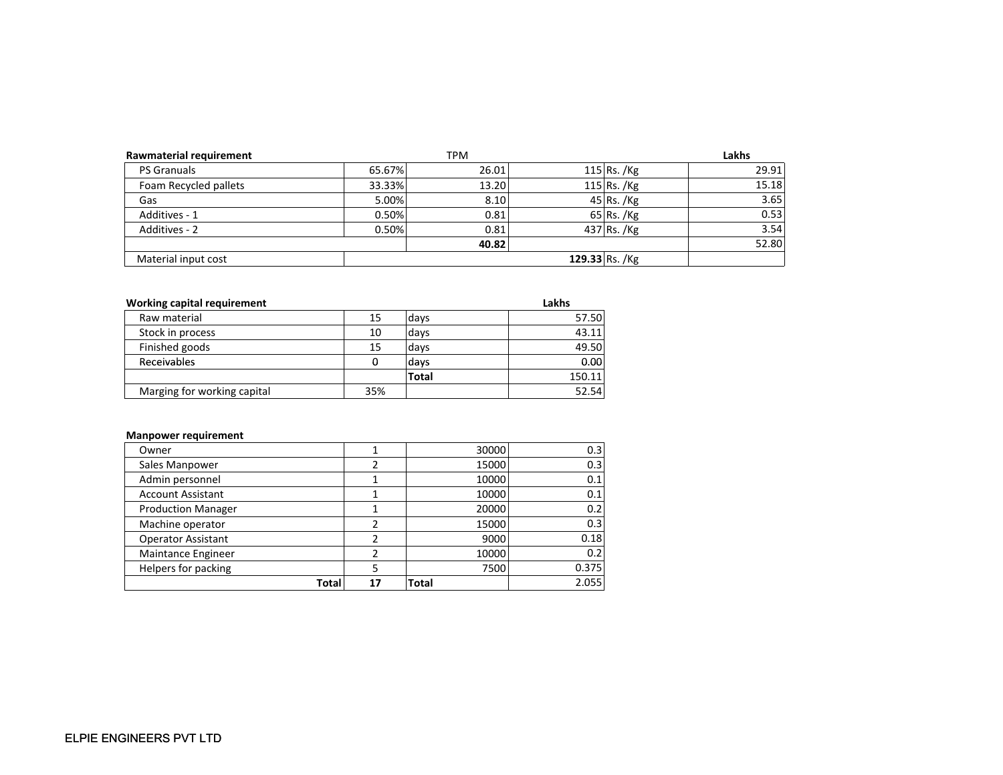| Rawmaterial requirement |        | TPM   |                | Lakhs |
|-------------------------|--------|-------|----------------|-------|
| <b>PS Granuals</b>      | 65.67% | 26.01 | $115$ Rs. /Kg  | 29.91 |
| Foam Recycled pallets   | 33.33% | 13.20 | 115 Rs. / $Kg$ | 15.18 |
| Gas                     | 5.00%  | 8.10  | $45$ Rs. /Kg   | 3.65  |
| Additives - 1           | 0.50%  | 0.81  | $65$ Rs. /Kg   | 0.53  |
| Additives - 2           | 0.50%  | 0.81  | $437$ Rs. /Kg  | 3.54  |
|                         |        | 40.82 |                | 52.80 |
| Material input cost     |        |       | 129.33 Rs. /Kg |       |

| Working capital requirement |     |       | Lakhs  |
|-----------------------------|-----|-------|--------|
| Raw material                | 15  | days  | 57.50  |
| Stock in process            | 10  | days  | 43.11  |
| Finished goods              | 15  | days  | 49.50  |
| Receivables                 |     | days  | 0.00   |
|                             |     | Total | 150.11 |
| Marging for working capital | 35% |       | 52.54  |

#### **Manpower requirement**

|                           | Total | 17 | Total | 2.055 |
|---------------------------|-------|----|-------|-------|
| Helpers for packing       |       |    | 7500  | 0.375 |
| Maintance Engineer        |       |    | 10000 | 0.2   |
| <b>Operator Assistant</b> |       |    | 9000  | 0.18  |
| Machine operator          |       |    | 15000 | 0.3   |
| <b>Production Manager</b> |       |    | 20000 | 0.2   |
| <b>Account Assistant</b>  |       |    | 10000 | 0.1   |
| Admin personnel           |       |    | 10000 | 0.1   |
| Sales Manpower            |       |    | 15000 | 0.3   |
| Owner                     |       |    | 30000 | 0.3   |